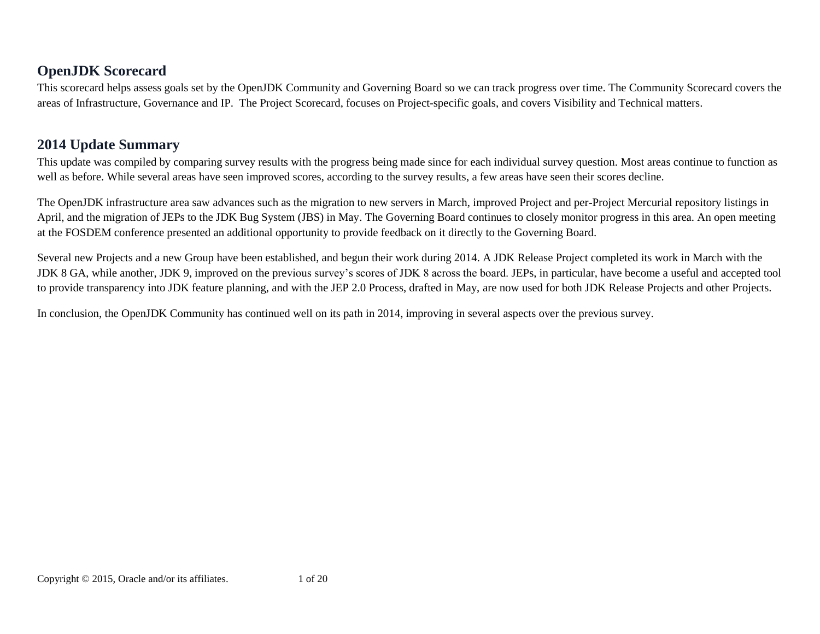## **OpenJDK Scorecard**

This scorecard helps assess goals set by the OpenJDK Community and Governing Board so we can track progress over time. The Community Scorecard covers the areas of Infrastructure, Governance and IP. The Project Scorecard, focuses on Project-specific goals, and covers Visibility and Technical matters.

## **2014 Update Summary**

This update was compiled by comparing survey results with the progress being made since for each individual survey question. Most areas continue to function as well as before. While several areas have seen improved scores, according to the survey results, a few areas have seen their scores decline.

The OpenJDK infrastructure area saw advances such as the migration to new servers in March, improved Project and per-Project Mercurial repository listings in April, and the migration of JEPs to the JDK Bug System (JBS) in May. The Governing Board continues to closely monitor progress in this area. An open meeting at the FOSDEM conference presented an additional opportunity to provide feedback on it directly to the Governing Board.

Several new Projects and a new Group have been established, and begun their work during 2014. A JDK Release Project completed its work in March with the JDK 8 GA, while another, JDK 9, improved on the previous survey's scores of JDK 8 across the board. JEPs, in particular, have become a useful and accepted tool to provide transparency into JDK feature planning, and with the JEP 2.0 Process, drafted in May, are now used for both JDK Release Projects and other Projects.

In conclusion, the OpenJDK Community has continued well on its path in 2014, improving in several aspects over the previous survey.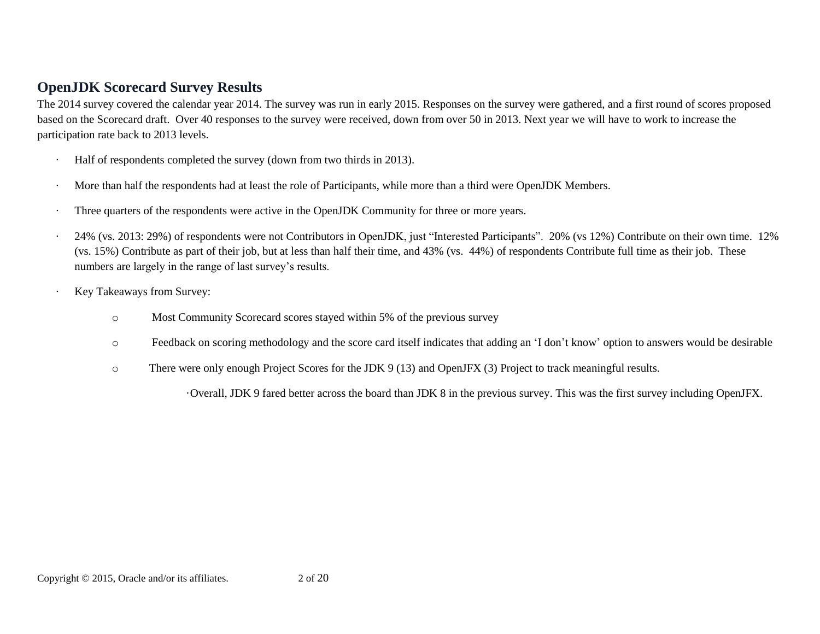#### **OpenJDK Scorecard Survey Results**

The 2014 survey covered the calendar year 2014. The survey was run in early 2015. Responses on the survey were gathered, and a first round of scores proposed based on the Scorecard draft. Over 40 responses to the survey were received, down from over 50 in 2013. Next year we will have to work to increase the participation rate back to 2013 levels.

- Half of respondents completed the survey (down from two thirds in 2013).
- More than half the respondents had at least the role of Participants, while more than a third were OpenJDK Members.
- Three quarters of the respondents were active in the OpenJDK Community for three or more years.
- · 24% (vs. 2013: 29%) of respondents were not Contributors in OpenJDK, just "Interested Participants". 20% (vs 12%) Contribute on their own time. 12% (vs. 15%) Contribute as part of their job, but at less than half their time, and 43% (vs. 44%) of respondents Contribute full time as their job. These numbers are largely in the range of last survey's results.
- Key Takeaways from Survey:
	- o Most Community Scorecard scores stayed within 5% of the previous survey
	- o Feedback on scoring methodology and the score card itself indicates that adding an 'I don't know' option to answers would be desirable
	- o There were only enough Project Scores for the JDK 9 (13) and OpenJFX (3) Project to track meaningful results.

·Overall, JDK 9 fared better across the board than JDK 8 in the previous survey. This was the first survey including OpenJFX.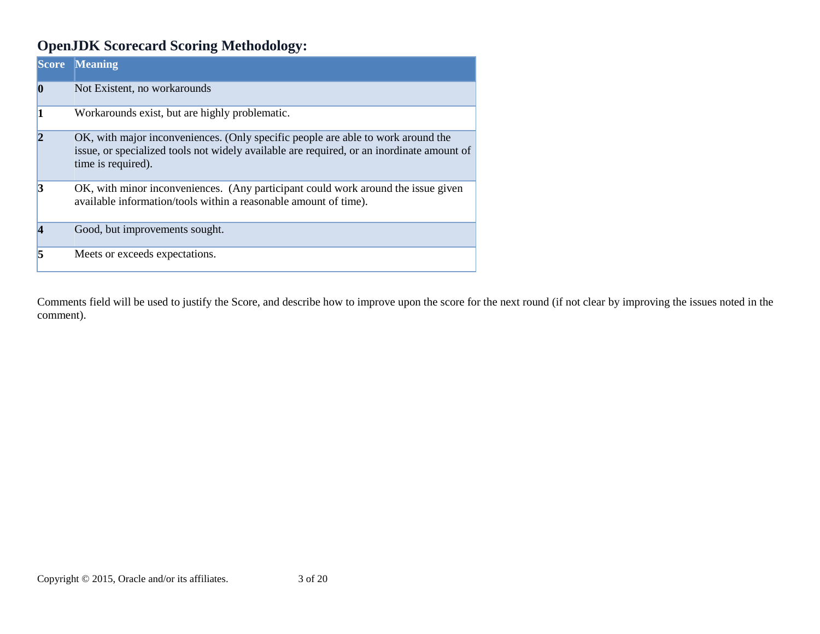# **OpenJDK Scorecard Scoring Methodology:**

|               | <b>Score Meaning</b>                                                                                                                                                                                |
|---------------|-----------------------------------------------------------------------------------------------------------------------------------------------------------------------------------------------------|
| $\bf{0}$      | Not Existent, no workarounds                                                                                                                                                                        |
|               | Workarounds exist, but are highly problematic.                                                                                                                                                      |
| $\mathcal{D}$ | OK, with major inconveniences. (Only specific people are able to work around the<br>issue, or specialized tools not widely available are required, or an inordinate amount of<br>time is required). |
| 13            | OK, with minor inconveniences. (Any participant could work around the issue given<br>available information/tools within a reasonable amount of time).                                               |
|               | Good, but improvements sought.                                                                                                                                                                      |
| k             | Meets or exceeds expectations.                                                                                                                                                                      |

Comments field will be used to justify the Score, and describe how to improve upon the score for the next round (if not clear by improving the issues noted in the comment).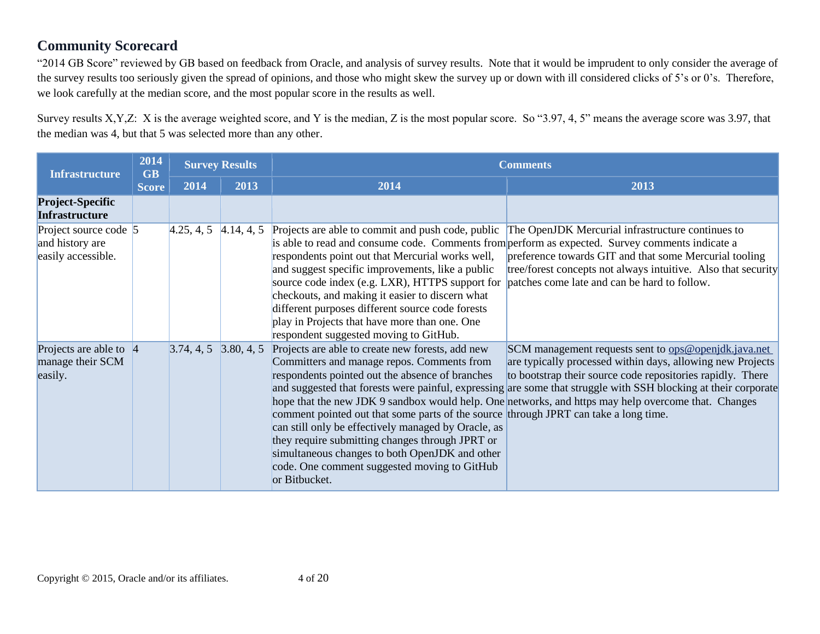### **Community Scorecard**

"2014 GB Score" reviewed by GB based on feedback from Oracle, and analysis of survey results. Note that it would be imprudent to only consider the average of the survey results too seriously given the spread of opinions, and those who might skew the survey up or down with ill considered clicks of 5's or 0's. Therefore, we look carefully at the median score, and the most popular score in the results as well.

Survey results X,Y,Z: X is the average weighted score, and Y is the median, Z is the most popular score. So "3.97, 4, 5" means the average score was 3.97, that the median was 4, but that 5 was selected more than any other.

| <b>Infrastructure</b>                                          | 2014<br><b>GB</b> | <b>Survey Results</b> |            | <b>Comments</b>                                                                                                                                                                                                                                                                                                                                                                                                                                                                                                                                                |                                                                                                                                                                                                                                                                                                                                                                                                                   |  |  |  |
|----------------------------------------------------------------|-------------------|-----------------------|------------|----------------------------------------------------------------------------------------------------------------------------------------------------------------------------------------------------------------------------------------------------------------------------------------------------------------------------------------------------------------------------------------------------------------------------------------------------------------------------------------------------------------------------------------------------------------|-------------------------------------------------------------------------------------------------------------------------------------------------------------------------------------------------------------------------------------------------------------------------------------------------------------------------------------------------------------------------------------------------------------------|--|--|--|
|                                                                | <b>Score</b>      | 2014                  | 2013       | 2014                                                                                                                                                                                                                                                                                                                                                                                                                                                                                                                                                           | 2013                                                                                                                                                                                                                                                                                                                                                                                                              |  |  |  |
| <b>Project-Specific</b><br><b>Infrastructure</b>               |                   |                       |            |                                                                                                                                                                                                                                                                                                                                                                                                                                                                                                                                                                |                                                                                                                                                                                                                                                                                                                                                                                                                   |  |  |  |
| Project source code 5<br>and history are<br>easily accessible. |                   | 4.25, 4, 5            | 4.14, 4, 5 | Projects are able to commit and push code, public<br>is able to read and consume code. Comments from perform as expected. Survey comments indicate a<br>respondents point out that Mercurial works well,<br>and suggest specific improvements, like a public<br>source code index (e.g. LXR), HTTPS support for patches come late and can be hard to follow.<br>checkouts, and making it easier to discern what<br>different purposes different source code forests<br>play in Projects that have more than one. One<br>respondent suggested moving to GitHub. | The OpenJDK Mercurial infrastructure continues to<br>preference towards GIT and that some Mercurial tooling<br>tree/forest concepts not always intuitive. Also that security                                                                                                                                                                                                                                      |  |  |  |
| Projects are able to $ 4 $<br>manage their SCM<br>easily.      |                   | 3.74, 4, 5            | 3.80, 4, 5 | Projects are able to create new forests, add new<br>Committers and manage repos. Comments from<br>respondents pointed out the absence of branches<br>comment pointed out that some parts of the source through JPRT can take a long time.<br>can still only be effectively managed by Oracle, as<br>they require submitting changes through JPRT or<br>simultaneous changes to both OpenJDK and other<br>code. One comment suggested moving to GitHub<br>or Bitbucket.                                                                                         | SCM management requests sent to <u>ops@openjdk.java.net</u><br>are typically processed within days, allowing new Projects<br>to bootstrap their source code repositories rapidly. There<br>and suggested that forests were painful, expressing are some that struggle with SSH blocking at their corporate<br>hope that the new JDK 9 sandbox would help. One networks, and https may help overcome that. Changes |  |  |  |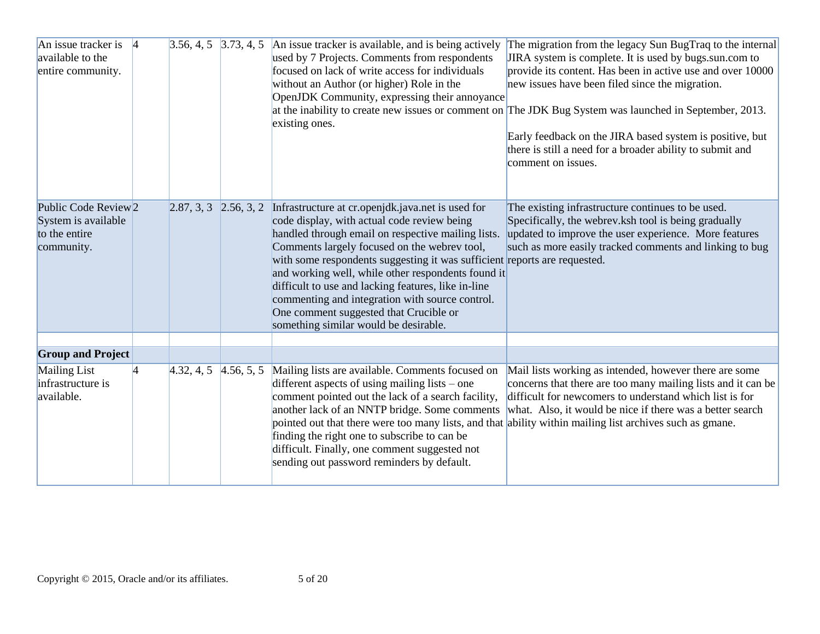| An issue tracker is $\vert 4 \vert$<br>available to the<br>entire community.          | $3.56, 4, 5$ 3.73, 4, 5 |            | An issue tracker is available, and is being actively<br>used by 7 Projects. Comments from respondents<br>focused on lack of write access for individuals<br>without an Author (or higher) Role in the<br>OpenJDK Community, expressing their annoyance<br>existing ones.                                                                                                                                                                                                                                                               | The migration from the legacy Sun BugTraq to the internal<br>JIRA system is complete. It is used by bugs.sun.com to<br>provide its content. Has been in active use and over 10000<br>new issues have been filed since the migration.<br>at the inability to create new issues or comment on The JDK Bug System was launched in September, 2013.<br>Early feedback on the JIRA based system is positive, but<br>there is still a need for a broader ability to submit and<br>comment on issues. |
|---------------------------------------------------------------------------------------|-------------------------|------------|----------------------------------------------------------------------------------------------------------------------------------------------------------------------------------------------------------------------------------------------------------------------------------------------------------------------------------------------------------------------------------------------------------------------------------------------------------------------------------------------------------------------------------------|------------------------------------------------------------------------------------------------------------------------------------------------------------------------------------------------------------------------------------------------------------------------------------------------------------------------------------------------------------------------------------------------------------------------------------------------------------------------------------------------|
| Public Code Review <sub>2</sub><br>System is available<br>to the entire<br>community. | 2.87, 3, 3              | 2.56, 3, 2 | Infrastructure at cr.openjdk.java.net is used for<br>code display, with actual code review being<br>handled through email on respective mailing lists.<br>Comments largely focused on the webrev tool,<br>with some respondents suggesting it was sufficient reports are requested.<br>and working well, while other respondents found it<br>difficult to use and lacking features, like in-line<br>commenting and integration with source control.<br>One comment suggested that Crucible or<br>something similar would be desirable. | The existing infrastructure continues to be used.<br>Specifically, the webrev ksh tool is being gradually<br>updated to improve the user experience. More features<br>such as more easily tracked comments and linking to bug                                                                                                                                                                                                                                                                  |
| <b>Group and Project</b>                                                              |                         |            |                                                                                                                                                                                                                                                                                                                                                                                                                                                                                                                                        |                                                                                                                                                                                                                                                                                                                                                                                                                                                                                                |
| Mailing List<br>infrastructure is<br>available.                                       | 4.32, 4, 5              | 4.56, 5, 5 | Mailing lists are available. Comments focused on<br>different aspects of using mailing lists – one<br>comment pointed out the lack of a search facility,<br>another lack of an NNTP bridge. Some comments<br>pointed out that there were too many lists, and that ability within mailing list archives such as gmane.<br>finding the right one to subscribe to can be<br>difficult. Finally, one comment suggested not<br>sending out password reminders by default.                                                                   | Mail lists working as intended, however there are some<br>concerns that there are too many mailing lists and it can be<br>difficult for newcomers to understand which list is for<br>what. Also, it would be nice if there was a better search                                                                                                                                                                                                                                                 |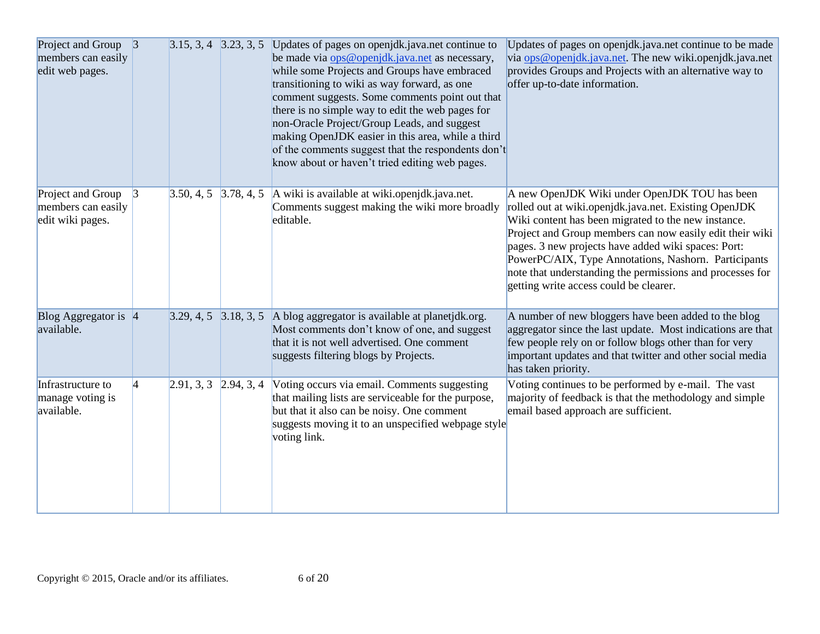| Project and Group 3<br>members can easily<br>edit web pages. |                 |                           |            | $3.15, 3, 4$ $3.23, 3, 5$ Updates of pages on openjdk.java.net continue to<br>be made via ops@openjdk.java.net as necessary,<br>while some Projects and Groups have embraced<br>transitioning to wiki as way forward, as one<br>comment suggests. Some comments point out that<br>there is no simple way to edit the web pages for<br>non-Oracle Project/Group Leads, and suggest<br>making OpenJDK easier in this area, while a third<br>of the comments suggest that the respondents don't<br>know about or haven't tried editing web pages. | Updates of pages on openjdk.java.net continue to be made<br>via ops@openjdk.java.net. The new wiki.openjdk.java.net<br>provides Groups and Projects with an alternative way to<br>offer up-to-date information.                                                                                                                                                                                                                                 |
|--------------------------------------------------------------|-----------------|---------------------------|------------|------------------------------------------------------------------------------------------------------------------------------------------------------------------------------------------------------------------------------------------------------------------------------------------------------------------------------------------------------------------------------------------------------------------------------------------------------------------------------------------------------------------------------------------------|-------------------------------------------------------------------------------------------------------------------------------------------------------------------------------------------------------------------------------------------------------------------------------------------------------------------------------------------------------------------------------------------------------------------------------------------------|
| Project and Group<br>members can easily<br>edit wiki pages.  | $\vert 3 \vert$ | 3.50, 4, 5                | 3.78, 4, 5 | A wiki is available at wiki.openjdk.java.net.<br>Comments suggest making the wiki more broadly<br>editable.                                                                                                                                                                                                                                                                                                                                                                                                                                    | A new OpenJDK Wiki under OpenJDK TOU has been<br>rolled out at wiki.openjdk.java.net. Existing OpenJDK<br>Wiki content has been migrated to the new instance.<br>Project and Group members can now easily edit their wiki<br>pages. 3 new projects have added wiki spaces: Port:<br>PowerPC/AIX, Type Annotations, Nashorn. Participants<br>note that understanding the permissions and processes for<br>getting write access could be clearer. |
| Blog Aggregator is 4<br>available.                           |                 | $3.29, 4, 5$ $3.18, 3, 5$ |            | A blog aggregator is available at planetjdk.org.<br>Most comments don't know of one, and suggest<br>that it is not well advertised. One comment<br>suggests filtering blogs by Projects.                                                                                                                                                                                                                                                                                                                                                       | A number of new bloggers have been added to the blog<br>aggregator since the last update. Most indications are that<br>few people rely on or follow blogs other than for very<br>important updates and that twitter and other social media<br>has taken priority.                                                                                                                                                                               |
| Infrastructure to<br>manage voting is<br>available.          | $\vert 4 \vert$ | 2.91, 3, 3                | 2.94, 3, 4 | Voting occurs via email. Comments suggesting<br>that mailing lists are serviceable for the purpose,<br>but that it also can be noisy. One comment<br>suggests moving it to an unspecified webpage style<br>voting link.                                                                                                                                                                                                                                                                                                                        | Voting continues to be performed by e-mail. The vast<br>majority of feedback is that the methodology and simple<br>email based approach are sufficient.                                                                                                                                                                                                                                                                                         |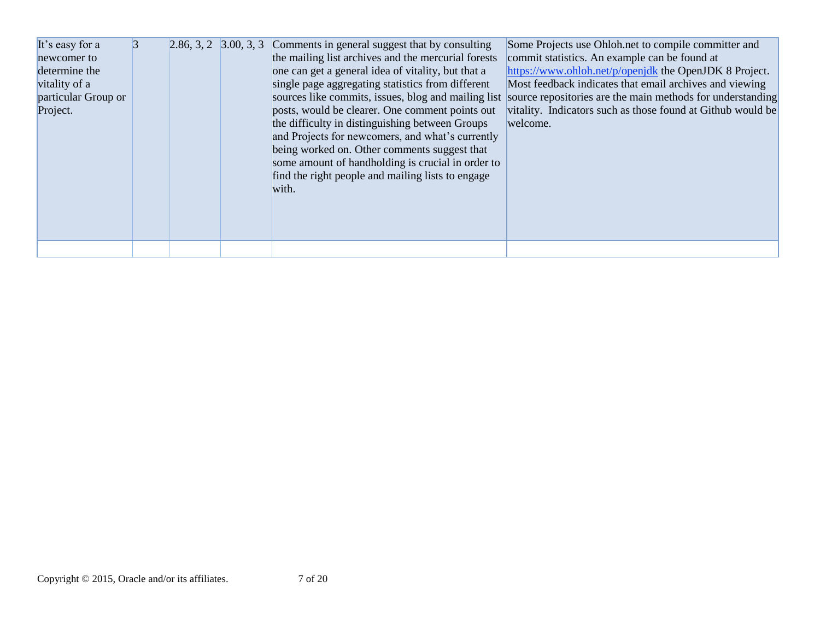| It's easy for a     | 3 |  | 2.86, 3, 2 $\,$ 3.00, 3, 3 $\,$ Comments in general suggest that by consulting                                                                                                                                                                                         | Some Projects use Ohloh.net to compile committer and                                                           |
|---------------------|---|--|------------------------------------------------------------------------------------------------------------------------------------------------------------------------------------------------------------------------------------------------------------------------|----------------------------------------------------------------------------------------------------------------|
| newcomer to         |   |  | the mailing list archives and the mercurial forests                                                                                                                                                                                                                    | commit statistics. An example can be found at                                                                  |
| determine the       |   |  | one can get a general idea of vitality, but that a                                                                                                                                                                                                                     | https://www.ohloh.net/p/openjdk the OpenJDK 8 Project.                                                         |
| vitality of a       |   |  | single page aggregating statistics from different                                                                                                                                                                                                                      | Most feedback indicates that email archives and viewing                                                        |
| particular Group or |   |  |                                                                                                                                                                                                                                                                        | sources like commits, issues, blog and mailing list source repositories are the main methods for understanding |
| Project.            |   |  | posts, would be clearer. One comment points out                                                                                                                                                                                                                        | vitality. Indicators such as those found at Github would be                                                    |
|                     |   |  | the difficulty in distinguishing between Groups<br>and Projects for newcomers, and what's currently<br>being worked on. Other comments suggest that<br>some amount of handholding is crucial in order to<br>find the right people and mailing lists to engage<br>with. | welcome.                                                                                                       |
|                     |   |  |                                                                                                                                                                                                                                                                        |                                                                                                                |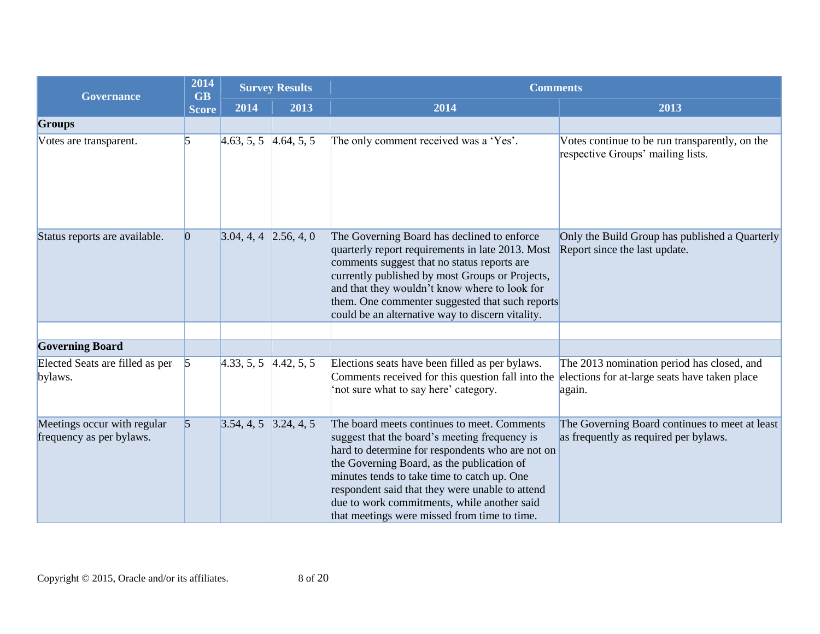| <b>Governance</b>                                       | 2014            | <b>Survey Results</b><br><b>GB</b> |      | <b>Comments</b>                                                                                                                                                                                                                                                                                                                                                                                 |                                                                                                       |  |
|---------------------------------------------------------|-----------------|------------------------------------|------|-------------------------------------------------------------------------------------------------------------------------------------------------------------------------------------------------------------------------------------------------------------------------------------------------------------------------------------------------------------------------------------------------|-------------------------------------------------------------------------------------------------------|--|
|                                                         | <b>Score</b>    | 2014                               | 2013 | 2014                                                                                                                                                                                                                                                                                                                                                                                            | 2013                                                                                                  |  |
| <b>Groups</b>                                           |                 |                                    |      |                                                                                                                                                                                                                                                                                                                                                                                                 |                                                                                                       |  |
| Votes are transparent.                                  | 5               | $4.63, 5, 5$ $4.64, 5, 5$          |      | The only comment received was a 'Yes'.                                                                                                                                                                                                                                                                                                                                                          | Votes continue to be run transparently, on the<br>respective Groups' mailing lists.                   |  |
| Status reports are available.                           | $ 0\rangle$     | $3.04, 4, 4$ 2.56, 4, 0            |      | The Governing Board has declined to enforce<br>quarterly report requirements in late 2013. Most<br>comments suggest that no status reports are<br>currently published by most Groups or Projects,<br>and that they wouldn't know where to look for<br>them. One commenter suggested that such reports<br>could be an alternative way to discern vitality.                                       | Only the Build Group has published a Quarterly<br>Report since the last update.                       |  |
|                                                         |                 |                                    |      |                                                                                                                                                                                                                                                                                                                                                                                                 |                                                                                                       |  |
| <b>Governing Board</b>                                  |                 |                                    |      |                                                                                                                                                                                                                                                                                                                                                                                                 |                                                                                                       |  |
| Elected Seats are filled as per<br>bylaws.              | $\vert$ 5       | $4.33, 5, 5$ $4.42, 5, 5$          |      | Elections seats have been filled as per bylaws.<br>Comments received for this question fall into the<br>'not sure what to say here' category.                                                                                                                                                                                                                                                   | The 2013 nomination period has closed, and<br>elections for at-large seats have taken place<br>again. |  |
| Meetings occur with regular<br>frequency as per bylaws. | $\vert 5 \vert$ | $3.54, 4, 5$ $3.24, 4, 5$          |      | The board meets continues to meet. Comments<br>suggest that the board's meeting frequency is<br>hard to determine for respondents who are not on<br>the Governing Board, as the publication of<br>minutes tends to take time to catch up. One<br>respondent said that they were unable to attend<br>due to work commitments, while another said<br>that meetings were missed from time to time. | The Governing Board continues to meet at least<br>as frequently as required per bylaws.               |  |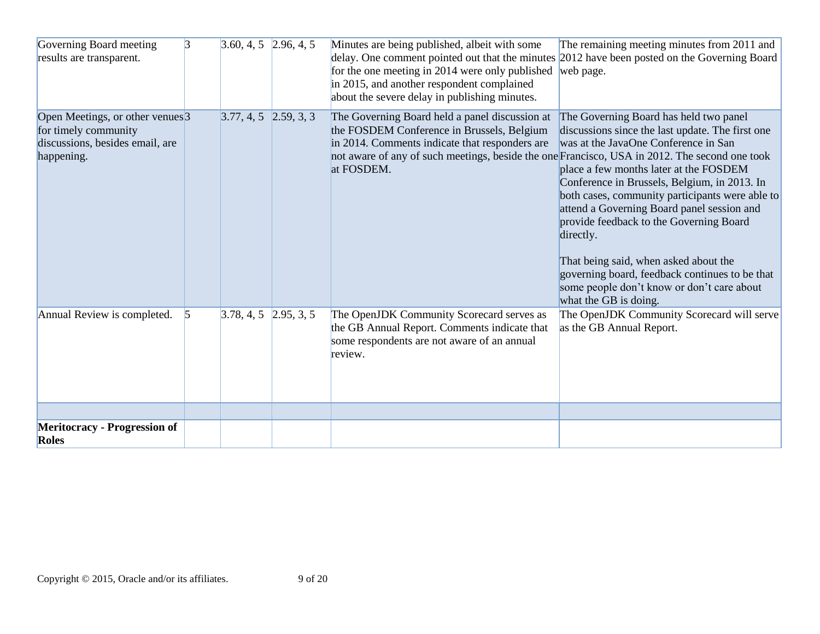| Governing Board meeting<br>results are transparent.                                                                  | $\overline{3}$ | $3.60, 4, 5$ 2.96, 4, 5 | Minutes are being published, albeit with some<br>delay. One comment pointed out that the minutes 2012 have been posted on the Governing Board<br>for the one meeting in 2014 were only published<br>in 2015, and another respondent complained<br>about the severe delay in publishing minutes. | The remaining meeting minutes from 2011 and<br>web page.                                                                                                                                                                                                                                                                                                                                                                                                                                                                                                |
|----------------------------------------------------------------------------------------------------------------------|----------------|-------------------------|-------------------------------------------------------------------------------------------------------------------------------------------------------------------------------------------------------------------------------------------------------------------------------------------------|---------------------------------------------------------------------------------------------------------------------------------------------------------------------------------------------------------------------------------------------------------------------------------------------------------------------------------------------------------------------------------------------------------------------------------------------------------------------------------------------------------------------------------------------------------|
| Open Meetings, or other venues <sup>3</sup><br>for timely community<br>discussions, besides email, are<br>happening. |                | $3.77, 4, 5$ 2.59, 3, 3 | The Governing Board held a panel discussion at<br>the FOSDEM Conference in Brussels, Belgium<br>in 2014. Comments indicate that responders are<br>not aware of any of such meetings, beside the one Francisco, USA in 2012. The second one took<br>at FOSDEM.                                   | The Governing Board has held two panel<br>discussions since the last update. The first one<br>was at the JavaOne Conference in San<br>place a few months later at the FOSDEM<br>Conference in Brussels, Belgium, in 2013. In<br>both cases, community participants were able to<br>attend a Governing Board panel session and<br>provide feedback to the Governing Board<br>directly.<br>That being said, when asked about the<br>governing board, feedback continues to be that<br>some people don't know or don't care about<br>what the GB is doing. |
| Annual Review is completed.                                                                                          | $\vert$ 5      | $3.78, 4, 5$ 2.95, 3, 5 | The OpenJDK Community Scorecard serves as<br>the GB Annual Report. Comments indicate that<br>some respondents are not aware of an annual<br>review.                                                                                                                                             | The OpenJDK Community Scorecard will serve<br>as the GB Annual Report.                                                                                                                                                                                                                                                                                                                                                                                                                                                                                  |
| <b>Meritocracy - Progression of</b><br><b>Roles</b>                                                                  |                |                         |                                                                                                                                                                                                                                                                                                 |                                                                                                                                                                                                                                                                                                                                                                                                                                                                                                                                                         |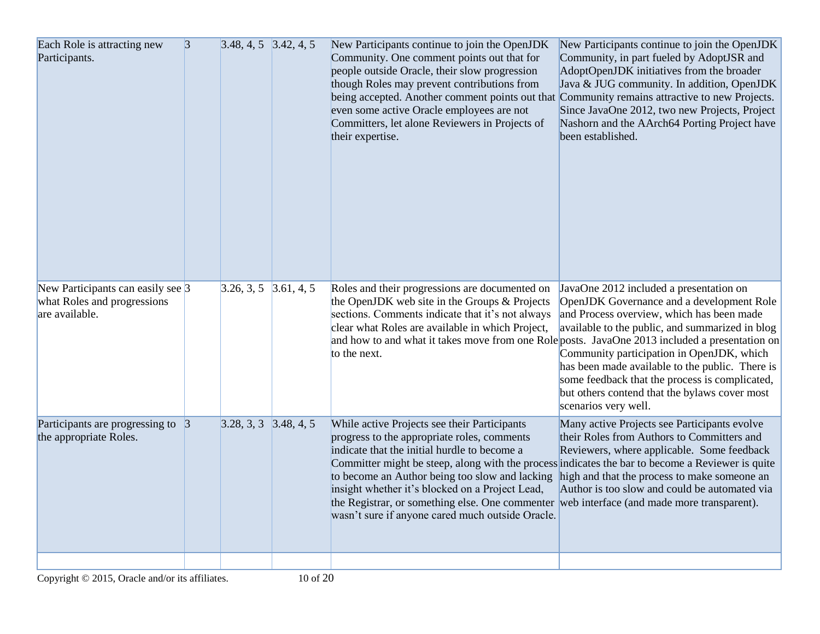| Each Role is attracting new<br>Participants.                                             | $\vert 3 \vert$ | $3.48, 4, 5$ $3.42, 4, 5$ | New Participants continue to join the OpenJDK<br>Community. One comment points out that for<br>people outside Oracle, their slow progression<br>though Roles may prevent contributions from<br>being accepted. Another comment points out that Community remains attractive to new Projects.<br>even some active Oracle employees are not<br>Committers, let alone Reviewers in Projects of<br>their expertise.                                             | New Participants continue to join the OpenJDK<br>Community, in part fueled by AdoptJSR and<br>AdoptOpenJDK initiatives from the broader<br>Java & JUG community. In addition, OpenJDK<br>Since JavaOne 2012, two new Projects, Project<br>Nashorn and the AArch64 Porting Project have<br>been established.                                                                                                     |
|------------------------------------------------------------------------------------------|-----------------|---------------------------|-------------------------------------------------------------------------------------------------------------------------------------------------------------------------------------------------------------------------------------------------------------------------------------------------------------------------------------------------------------------------------------------------------------------------------------------------------------|-----------------------------------------------------------------------------------------------------------------------------------------------------------------------------------------------------------------------------------------------------------------------------------------------------------------------------------------------------------------------------------------------------------------|
| New Participants can easily see $\beta$<br>what Roles and progressions<br>are available. |                 | $3.26, 3, 5$ $3.61, 4, 5$ | Roles and their progressions are documented on<br>the OpenJDK web site in the Groups & Projects<br>sections. Comments indicate that it's not always<br>clear what Roles are available in which Project,<br>and how to and what it takes move from one Role posts. JavaOne 2013 included a presentation on<br>to the next.                                                                                                                                   | JavaOne 2012 included a presentation on<br>OpenJDK Governance and a development Role<br>and Process overview, which has been made<br>available to the public, and summarized in blog<br>Community participation in OpenJDK, which<br>has been made available to the public. There is<br>some feedback that the process is complicated,<br>but others contend that the bylaws cover most<br>scenarios very well. |
| Participants are progressing to $\beta$<br>the appropriate Roles.                        |                 | $3.28, 3, 3$ $3.48, 4, 5$ | While active Projects see their Participants<br>progress to the appropriate roles, comments<br>indicate that the initial hurdle to become a<br>Committer might be steep, along with the process indicates the bar to become a Reviewer is quite<br>to become an Author being too slow and lacking<br>insight whether it's blocked on a Project Lead,<br>the Registrar, or something else. One commenter<br>wasn't sure if anyone cared much outside Oracle. | Many active Projects see Participants evolve<br>their Roles from Authors to Committers and<br>Reviewers, where applicable. Some feedback<br>high and that the process to make someone an<br>Author is too slow and could be automated via<br>web interface (and made more transparent).                                                                                                                         |
|                                                                                          |                 |                           |                                                                                                                                                                                                                                                                                                                                                                                                                                                             |                                                                                                                                                                                                                                                                                                                                                                                                                 |

Copyright © 2015, Oracle and/or its affiliates. 10 of 20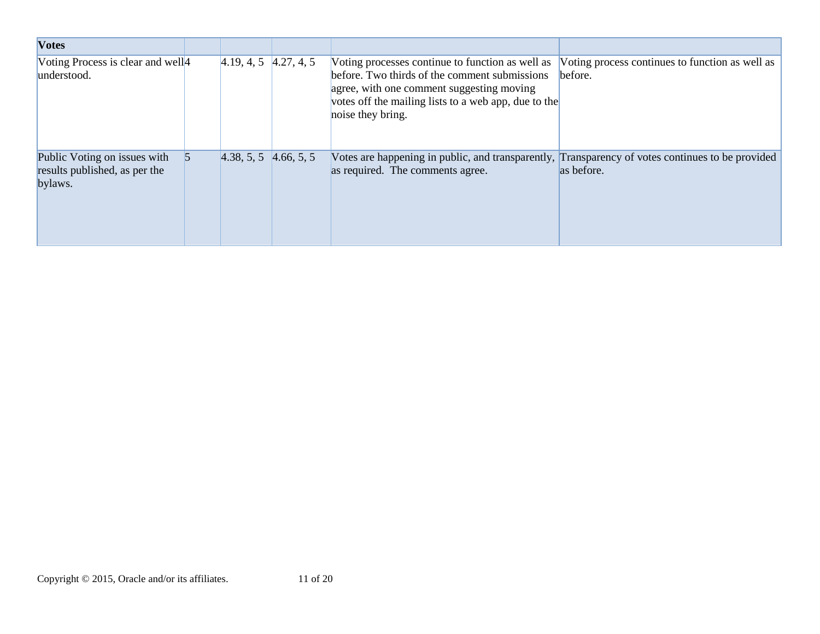| <b>Votes</b>                                                             |                           |                                                                                                                                                                                                                             |                                                            |
|--------------------------------------------------------------------------|---------------------------|-----------------------------------------------------------------------------------------------------------------------------------------------------------------------------------------------------------------------------|------------------------------------------------------------|
| Voting Process is clear and well <sup>4</sup><br>understood.             | $4.19, 4, 5$ $4.27, 4, 5$ | Voting processes continue to function as well as<br>before. Two thirds of the comment submissions<br>agree, with one comment suggesting moving<br>votes off the mailing lists to a web app, due to the<br>noise they bring. | Voting process continues to function as well as<br>before. |
| Public Voting on issues with<br>results published, as per the<br>bylaws. | $4.38, 5, 5$ $4.66, 5, 5$ | Votes are happening in public, and transparently, Transparency of votes continues to be provided<br>as required. The comments agree.                                                                                        | as before.                                                 |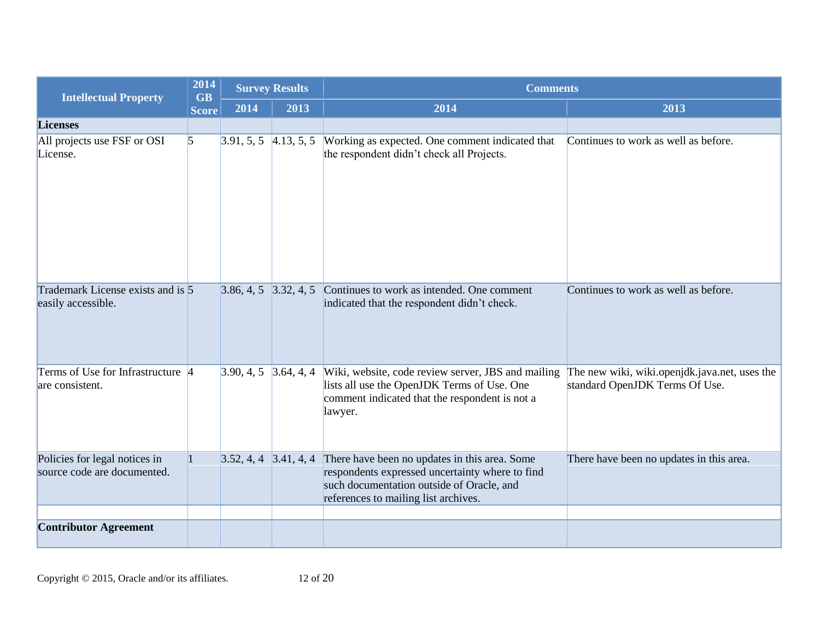| <b>Intellectual Property</b>                                 | 2014<br><b>GB</b> | <b>Survey Results</b>     |            | <b>Comments</b>                                                                                                                                                                       |                                                                                 |  |
|--------------------------------------------------------------|-------------------|---------------------------|------------|---------------------------------------------------------------------------------------------------------------------------------------------------------------------------------------|---------------------------------------------------------------------------------|--|
|                                                              | <b>Score</b>      | 2014                      | 2013       | 2014                                                                                                                                                                                  | 2013                                                                            |  |
| <b>Licenses</b>                                              |                   |                           |            |                                                                                                                                                                                       |                                                                                 |  |
| All projects use FSF or OSI<br>License.                      | $\vert$ 5         | 3.91, 5, 5                | 4.13, 5, 5 | Working as expected. One comment indicated that<br>the respondent didn't check all Projects.                                                                                          | Continues to work as well as before.                                            |  |
| Trademark License exists and is 5<br>easily accessible.      |                   | $3.86, 4, 5$ $3.32, 4, 5$ |            | Continues to work as intended. One comment<br>indicated that the respondent didn't check.                                                                                             | Continues to work as well as before.                                            |  |
| Terms of Use for Infrastructure 4<br>are consistent.         |                   | $3.90, 4, 5$ 3.64, 4, 4   |            | Wiki, website, code review server, JBS and mailing<br>lists all use the OpenJDK Terms of Use. One<br>comment indicated that the respondent is not a<br>lawyer.                        | The new wiki, wiki.openjdk.java.net, uses the<br>standard OpenJDK Terms Of Use. |  |
| Policies for legal notices in<br>source code are documented. |                   | $3.52, 4, 4$ $3.41, 4, 4$ |            | There have been no updates in this area. Some<br>respondents expressed uncertainty where to find<br>such documentation outside of Oracle, and<br>references to mailing list archives. | There have been no updates in this area.                                        |  |
|                                                              |                   |                           |            |                                                                                                                                                                                       |                                                                                 |  |
| <b>Contributor Agreement</b>                                 |                   |                           |            |                                                                                                                                                                                       |                                                                                 |  |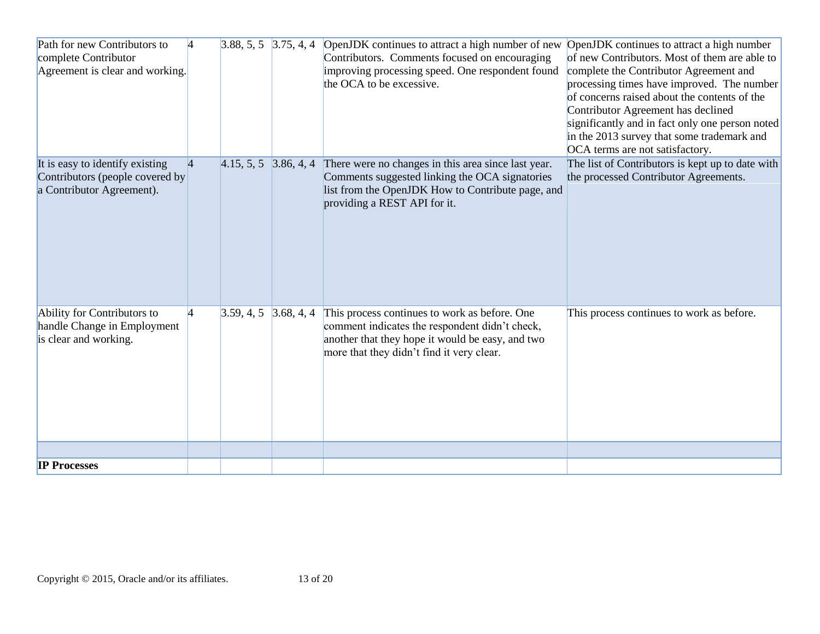| Path for new Contributors to<br>complete Contributor<br>Agreement is clear and working.         | 4               | $3.88, 5, 5$ $3.75, 4, 4$ |            | OpenJDK continues to attract a high number of new<br>Contributors. Comments focused on encouraging<br>improving processing speed. One respondent found<br>the OCA to be excessive.               | OpenJDK continues to attract a high number<br>of new Contributors. Most of them are able to<br>complete the Contributor Agreement and<br>processing times have improved. The number<br>of concerns raised about the contents of the<br>Contributor Agreement has declined<br>significantly and in fact only one person noted<br>in the 2013 survey that some trademark and<br>OCA terms are not satisfactory. |
|-------------------------------------------------------------------------------------------------|-----------------|---------------------------|------------|--------------------------------------------------------------------------------------------------------------------------------------------------------------------------------------------------|---------------------------------------------------------------------------------------------------------------------------------------------------------------------------------------------------------------------------------------------------------------------------------------------------------------------------------------------------------------------------------------------------------------|
| It is easy to identify existing<br>Contributors (people covered by<br>a Contributor Agreement). | $\vert 4 \vert$ | $4.15, 5, 5$ 3.86, 4, 4   |            | There were no changes in this area since last year.<br>Comments suggested linking the OCA signatories<br>list from the OpenJDK How to Contribute page, and<br>providing a REST API for it.       | The list of Contributors is kept up to date with<br>the processed Contributor Agreements.                                                                                                                                                                                                                                                                                                                     |
| Ability for Contributors to<br>handle Change in Employment<br>is clear and working.             | $\overline{4}$  | 3.59, 4, 5                | 3.68, 4, 4 | This process continues to work as before. One<br>comment indicates the respondent didn't check,<br>another that they hope it would be easy, and two<br>more that they didn't find it very clear. | This process continues to work as before.                                                                                                                                                                                                                                                                                                                                                                     |
| <b>IP Processes</b>                                                                             |                 |                           |            |                                                                                                                                                                                                  |                                                                                                                                                                                                                                                                                                                                                                                                               |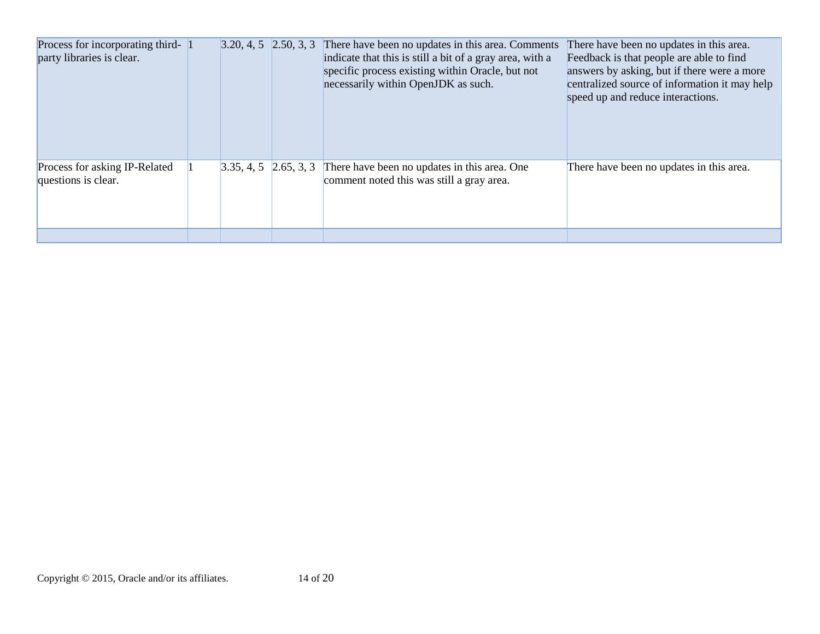| Process for incorporating third- 1<br>party libraries is clear. | $3.20, 4, 5$ 2.50, 3, 3 | There have been no updates in this area. Comments<br>indicate that this is still a bit of a gray area, with a<br>specific process existing within Oracle, but not<br>necessarily within OpenJDK as such. | There have been no updates in this area.<br>Feedback is that people are able to find<br>answers by asking, but if there were a more<br>centralized source of information it may help<br>speed up and reduce interactions. |
|-----------------------------------------------------------------|-------------------------|----------------------------------------------------------------------------------------------------------------------------------------------------------------------------------------------------------|---------------------------------------------------------------------------------------------------------------------------------------------------------------------------------------------------------------------------|
|                                                                 |                         |                                                                                                                                                                                                          |                                                                                                                                                                                                                           |
| Process for asking IP-Related<br>questions is clear.            | $3.35, 4, 5$ 2.65, 3, 3 | There have been no updates in this area. One<br>comment noted this was still a gray area.                                                                                                                | There have been no updates in this area.                                                                                                                                                                                  |
|                                                                 |                         |                                                                                                                                                                                                          |                                                                                                                                                                                                                           |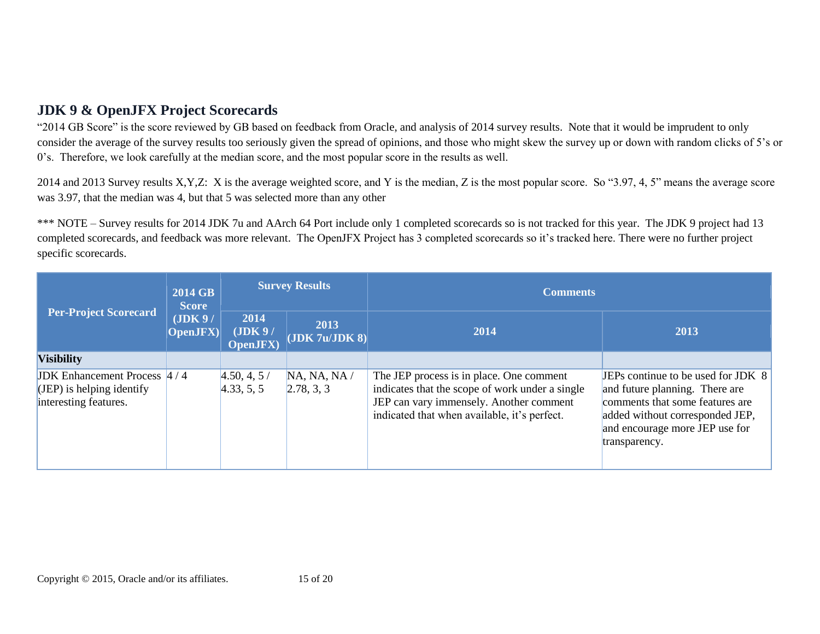### **JDK 9 & OpenJFX Project Scorecards**

"2014 GB Score" is the score reviewed by GB based on feedback from Oracle, and analysis of 2014 survey results. Note that it would be imprudent to only consider the average of the survey results too seriously given the spread of opinions, and those who might skew the survey up or down with random clicks of 5's or 0's. Therefore, we look carefully at the median score, and the most popular score in the results as well.

2014 and 2013 Survey results X,Y,Z: X is the average weighted score, and Y is the median, Z is the most popular score. So "3.97, 4, 5" means the average score was 3.97, that the median was 4, but that 5 was selected more than any other

\*\*\* NOTE – Survey results for 2014 JDK 7u and AArch 64 Port include only 1 completed scorecards so is not tracked for this year. The JDK 9 project had 13 completed scorecards, and feedback was more relevant. The OpenJFX Project has 3 completed scorecards so it's tracked here. There were no further project specific scorecards.

| <b>Per-Project Scorecard</b>                                                                 | 2014 GB<br><b>Score</b><br>(JDK 9/<br><b>OpenJFX</b> ) | <b>Survey Results</b>               |                            | <b>Comments</b>                                                                                                                                                                        |                                                                                                                                                                                               |
|----------------------------------------------------------------------------------------------|--------------------------------------------------------|-------------------------------------|----------------------------|----------------------------------------------------------------------------------------------------------------------------------------------------------------------------------------|-----------------------------------------------------------------------------------------------------------------------------------------------------------------------------------------------|
|                                                                                              |                                                        | 2014<br>(JDK 9/<br><b>OpenJFX</b> ) | 2013<br> JDK 7u/JDK 8      | 2014                                                                                                                                                                                   | 2013                                                                                                                                                                                          |
| <b>Visibility</b>                                                                            |                                                        |                                     |                            |                                                                                                                                                                                        |                                                                                                                                                                                               |
| <b>JDK</b> Enhancement Process $4/4$<br>$(JEP)$ is helping identify<br>interesting features. |                                                        | 4.50, 4, 5/<br>4.33, 5, 5           | NA, NA, NA /<br>2.78, 3, 3 | The JEP process is in place. One comment<br>indicates that the scope of work under a single<br>JEP can vary immensely. Another comment<br>indicated that when available, it's perfect. | JEPs continue to be used for JDK 8<br>and future planning. There are<br>comments that some features are<br>added without corresponded JEP,<br>and encourage more JEP use for<br>transparency. |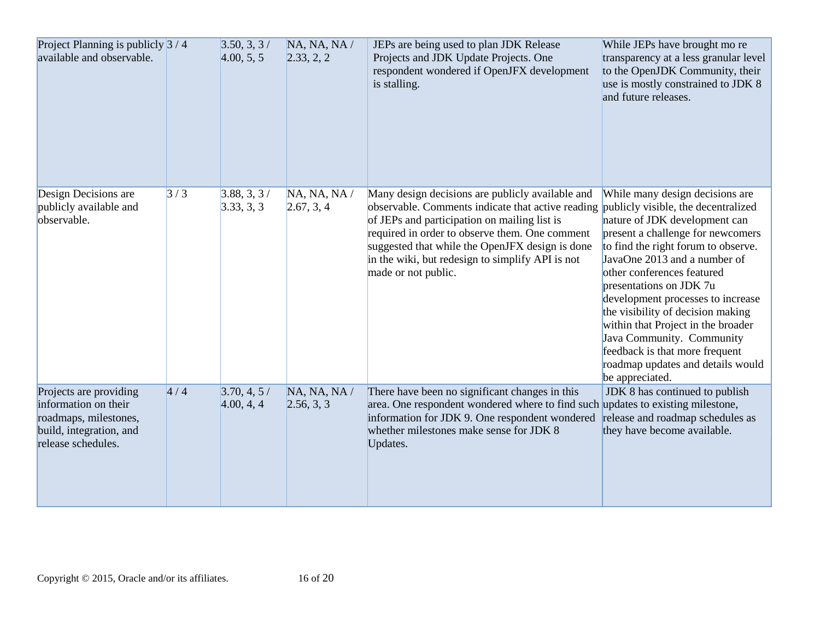| Project Planning is publicly $3/4$<br>available and observable.                                                          |     | 3.50, 3, 3/<br>4.00, 5, 5 | NA, NA, NA /<br>2.33, 2, 2 | JEPs are being used to plan JDK Release<br>Projects and JDK Update Projects. One<br>respondent wondered if OpenJFX development<br>is stalling.                                                                                                                                                                                        | While JEPs have brought mo re<br>transparency at a less granular level<br>to the OpenJDK Community, their<br>use is mostly constrained to JDK 8<br>and future releases.                                                                                                                                                                                                                                                                                                                                             |
|--------------------------------------------------------------------------------------------------------------------------|-----|---------------------------|----------------------------|---------------------------------------------------------------------------------------------------------------------------------------------------------------------------------------------------------------------------------------------------------------------------------------------------------------------------------------|---------------------------------------------------------------------------------------------------------------------------------------------------------------------------------------------------------------------------------------------------------------------------------------------------------------------------------------------------------------------------------------------------------------------------------------------------------------------------------------------------------------------|
| Design Decisions are<br>publicly available and<br>observable.                                                            | 3/3 | 3.88, 3, 3/<br>3.33, 3, 3 | NA, NA, NA /<br>2.67, 3, 4 | Many design decisions are publicly available and<br>observable. Comments indicate that active reading<br>of JEPs and participation on mailing list is<br>required in order to observe them. One comment<br>suggested that while the OpenJFX design is done<br>in the wiki, but redesign to simplify API is not<br>made or not public. | While many design decisions are<br>publicly visible, the decentralized<br>nature of JDK development can<br>present a challenge for newcomers<br>to find the right forum to observe.<br>JavaOne 2013 and a number of<br>other conferences featured<br>presentations on JDK 7u<br>development processes to increase<br>the visibility of decision making<br>within that Project in the broader<br>Java Community. Community<br>feedback is that more frequent<br>roadmap updates and details would<br>be appreciated. |
| Projects are providing<br>information on their<br>roadmaps, milestones,<br>build, integration, and<br>release schedules. | 4/4 | 3.70, 4, 5/<br>4.00, 4, 4 | NA, NA, NA /<br>2.56, 3, 3 | There have been no significant changes in this<br>area. One respondent wondered where to find such updates to existing milestone,<br>information for JDK 9. One respondent wondered<br>whether milestones make sense for JDK 8<br>Updates.                                                                                            | JDK 8 has continued to publish<br>release and roadmap schedules as<br>they have become available.                                                                                                                                                                                                                                                                                                                                                                                                                   |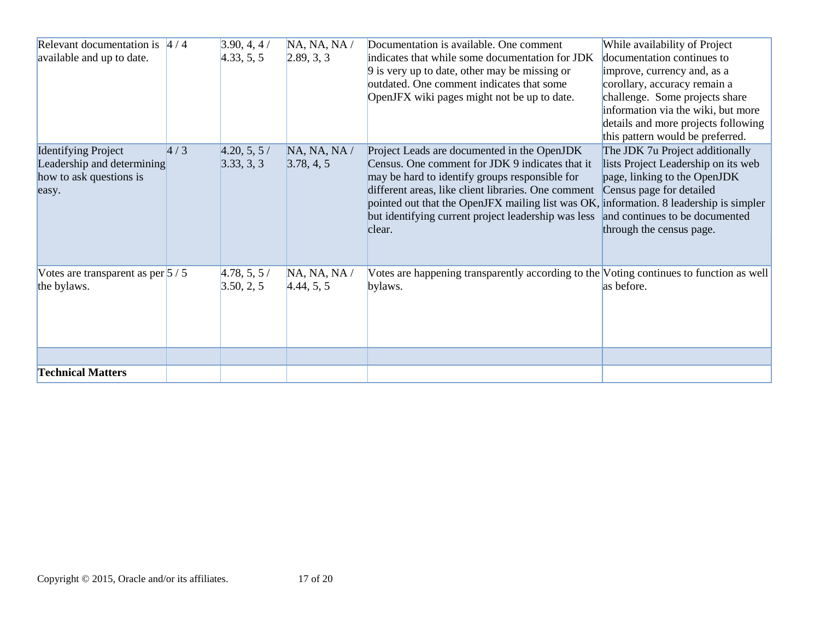| Relevant documentation is $4/4$<br>available and up to date.                                 |     | 3.90, 4, 4/<br>4.33, 5, 5 | NA, NA, NA /<br>2.89, 3, 3 | Documentation is available. One comment<br>indicates that while some documentation for JDK<br>9 is very up to date, other may be missing or<br>outdated. One comment indicates that some<br>OpenJFX wiki pages might not be up to date.                                                                                                                            | While availability of Project<br>documentation continues to<br>improve, currency and, as a<br>corollary, accuracy remain a<br>challenge. Some projects share<br>information via the wiki, but more<br>details and more projects following<br>this pattern would be preferred. |
|----------------------------------------------------------------------------------------------|-----|---------------------------|----------------------------|--------------------------------------------------------------------------------------------------------------------------------------------------------------------------------------------------------------------------------------------------------------------------------------------------------------------------------------------------------------------|-------------------------------------------------------------------------------------------------------------------------------------------------------------------------------------------------------------------------------------------------------------------------------|
| <b>Identifying Project</b><br>Leadership and determining<br>how to ask questions is<br>easy. | 4/3 | 4.20, 5, 5/<br>3.33, 3, 3 | NA, NA, NA /<br>3.78, 4, 5 | Project Leads are documented in the OpenJDK<br>Census. One comment for JDK 9 indicates that it<br>may be hard to identify groups responsible for<br>different areas, like client libraries. One comment<br>pointed out that the OpenJFX mailing list was OK, information. 8 leadership is simpler<br>but identifying current project leadership was less<br>clear. | The JDK 7u Project additionally<br>lists Project Leadership on its web<br>page, linking to the OpenJDK<br>Census page for detailed<br>and continues to be documented<br>through the census page.                                                                              |
| Votes are transparent as per $\frac{5}{5}$ / 5<br>the bylaws.                                |     | 4.78, 5, 5/<br>3.50, 2, 5 | NA, NA, NA /<br>4.44, 5, 5 | Votes are happening transparently according to the Voting continues to function as well<br>bylaws.                                                                                                                                                                                                                                                                 | as before.                                                                                                                                                                                                                                                                    |
| <b>Technical Matters</b>                                                                     |     |                           |                            |                                                                                                                                                                                                                                                                                                                                                                    |                                                                                                                                                                                                                                                                               |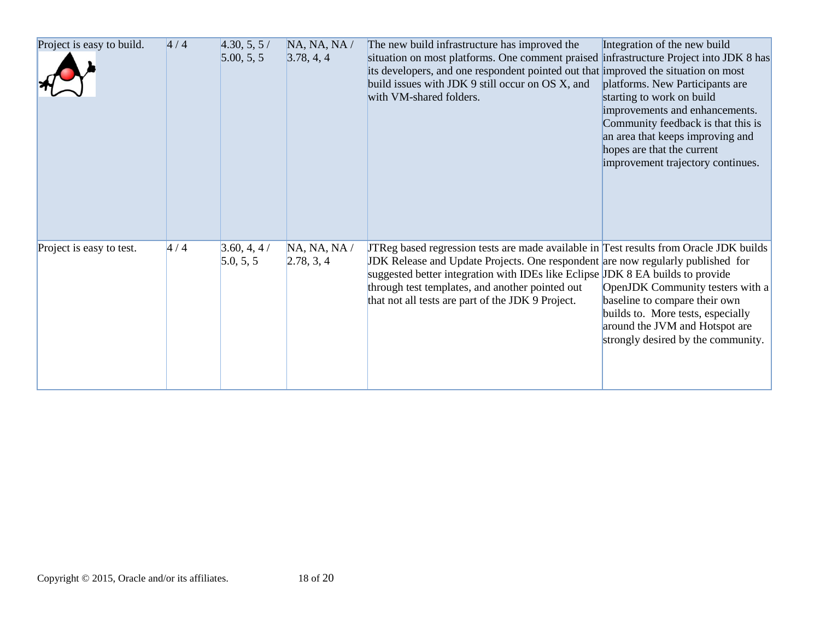| Project is easy to build. | 4/4 | 4.30, 5, 5/<br>5.00, 5, 5 | NA, NA, NA /<br>3.78, 4, 4 | The new build infrastructure has improved the<br>situation on most platforms. One comment praised infrastructure Project into JDK 8 has<br>its developers, and one respondent pointed out that improved the situation on most<br>build issues with JDK 9 still occur on OS X, and<br>with VM-shared folders.                                                              | Integration of the new build<br>platforms. New Participants are<br>starting to work on build<br>improvements and enhancements.<br>Community feedback is that this is<br>an area that keeps improving and<br>hopes are that the current<br>improvement trajectory continues. |
|---------------------------|-----|---------------------------|----------------------------|---------------------------------------------------------------------------------------------------------------------------------------------------------------------------------------------------------------------------------------------------------------------------------------------------------------------------------------------------------------------------|-----------------------------------------------------------------------------------------------------------------------------------------------------------------------------------------------------------------------------------------------------------------------------|
| Project is easy to test.  | 4/4 | 3.60, 4, 4/<br>5.0, 5, 5  | NA, NA, NA /<br>2.78, 3, 4 | <b>TReg based regression tests are made available in Test results from Oracle JDK builds</b><br>JDK Release and Update Projects. One respondent are now regularly published for<br>suggested better integration with IDEs like Eclipse JDK 8 EA builds to provide<br>through test templates, and another pointed out<br>that not all tests are part of the JDK 9 Project. | OpenJDK Community testers with a<br>baseline to compare their own<br>builds to. More tests, especially<br>around the JVM and Hotspot are<br>strongly desired by the community.                                                                                              |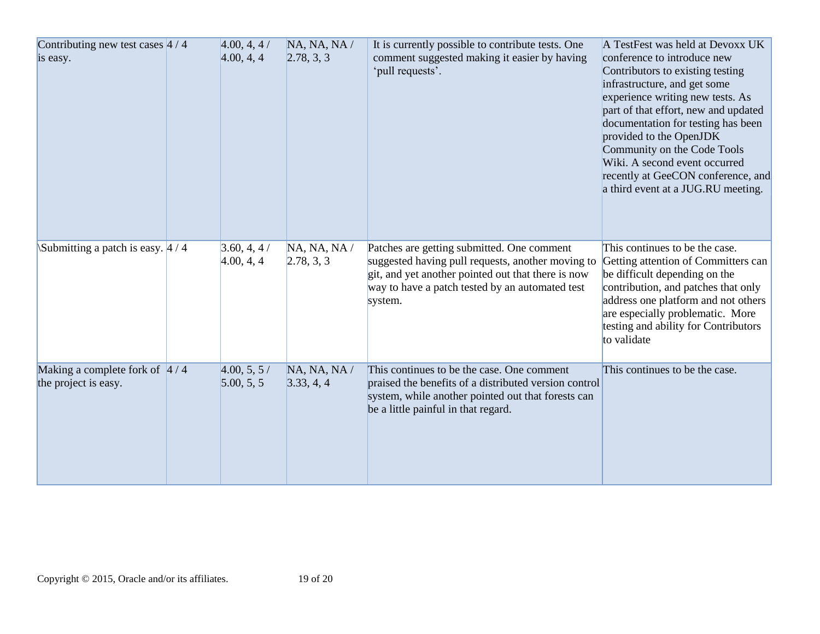| Contributing new test cases $4/4$<br>is easy.                   | 4.00, 4, 4/<br>4.00, 4, 4 | NA, NA, NA /<br>2.78, 3, 3 | It is currently possible to contribute tests. One<br>comment suggested making it easier by having<br>'pull requests'.                                                                                               | A TestFest was held at Devoxx UK<br>conference to introduce new<br>Contributors to existing testing<br>infrastructure, and get some<br>experience writing new tests. As<br>part of that effort, new and updated<br>documentation for testing has been<br>provided to the OpenJDK<br>Community on the Code Tools<br>Wiki. A second event occurred<br>recently at GeeCON conference, and<br>a third event at a JUG.RU meeting. |
|-----------------------------------------------------------------|---------------------------|----------------------------|---------------------------------------------------------------------------------------------------------------------------------------------------------------------------------------------------------------------|------------------------------------------------------------------------------------------------------------------------------------------------------------------------------------------------------------------------------------------------------------------------------------------------------------------------------------------------------------------------------------------------------------------------------|
| Submitting a patch is easy. $4/4$                               | 3.60, 4, 4/<br>4.00, 4, 4 | NA, NA, NA /<br>2.78, 3, 3 | Patches are getting submitted. One comment<br>suggested having pull requests, another moving to<br>git, and yet another pointed out that there is now<br>way to have a patch tested by an automated test<br>system. | This continues to be the case.<br>Getting attention of Committers can<br>be difficult depending on the<br>contribution, and patches that only<br>address one platform and not others<br>are especially problematic. More<br>testing and ability for Contributors<br>to validate                                                                                                                                              |
| Making a complete fork of $\frac{4}{4}$<br>the project is easy. | 4.00, 5, 5/<br>5.00, 5, 5 | NA, NA, NA /<br>3.33, 4, 4 | This continues to be the case. One comment<br>praised the benefits of a distributed version control<br>system, while another pointed out that forests can<br>be a little painful in that regard.                    | This continues to be the case.                                                                                                                                                                                                                                                                                                                                                                                               |